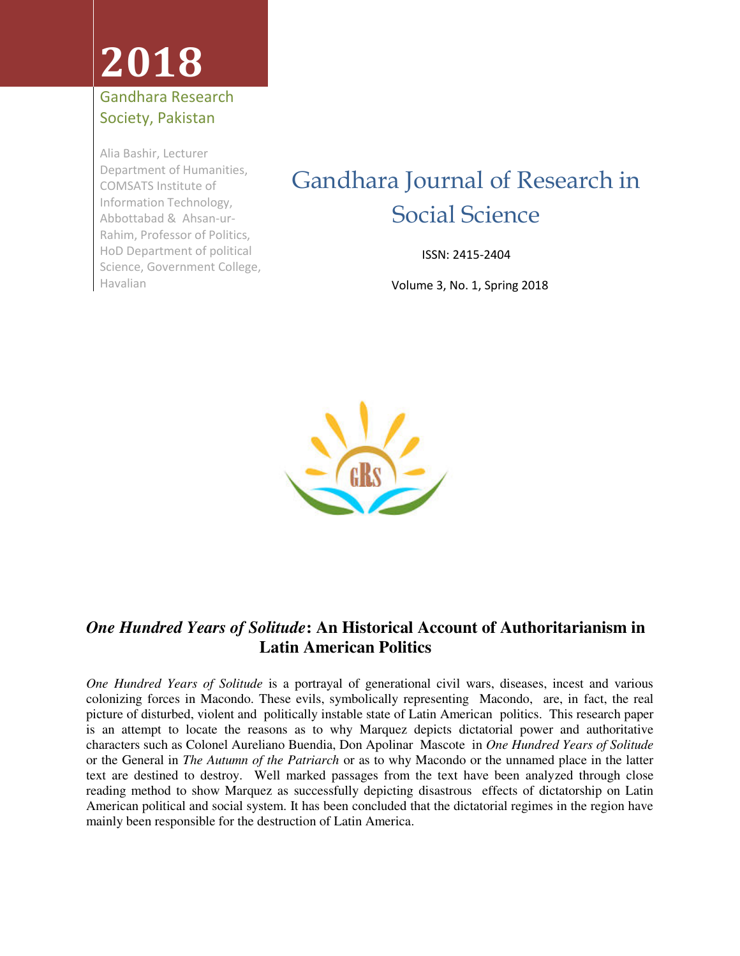# **2018**

#### Gandhara Research Society, Pakistan

Alia Bashir, Lecturer Department of Humanities, COMSATS Institute of Information Technology, Abbottabad & Ahsan-ur-Rahim, Professor of Politics, HoD Department of political Science, Government College, Havalian

### Gandhara Journal of Research in Social Science

ISSN: 2415-2404

Volume 3, No. 1, Spring 2018



### *One Hundred Years of Solitude***: An Historical Account of Authoritarianism in Latin American Politics**

*One Hundred Years of Solitude* is a portrayal of generational civil wars, diseases, incest and various colonizing forces in Macondo. These evils, symbolically representing Macondo, are, in fact, the real picture of disturbed, violent and politically instable state of Latin American politics. This research paper is an attempt to locate the reasons as to why Marquez depicts dictatorial power and authoritative characters such as Colonel Aureliano Buendia, Don Apolinar Mascote in *One Hundred Years of Solitude* or the General in *The Autumn of the Patriarch* or as to why Macondo or the unnamed place in the latter text are destined to destroy. Well marked passages from the text have been analyzed through close reading method to show Marquez as successfully depicting disastrous effects of dictatorship on Latin American political and social system. It has been concluded that the dictatorial regimes in the region have mainly been responsible for the destruction of Latin America.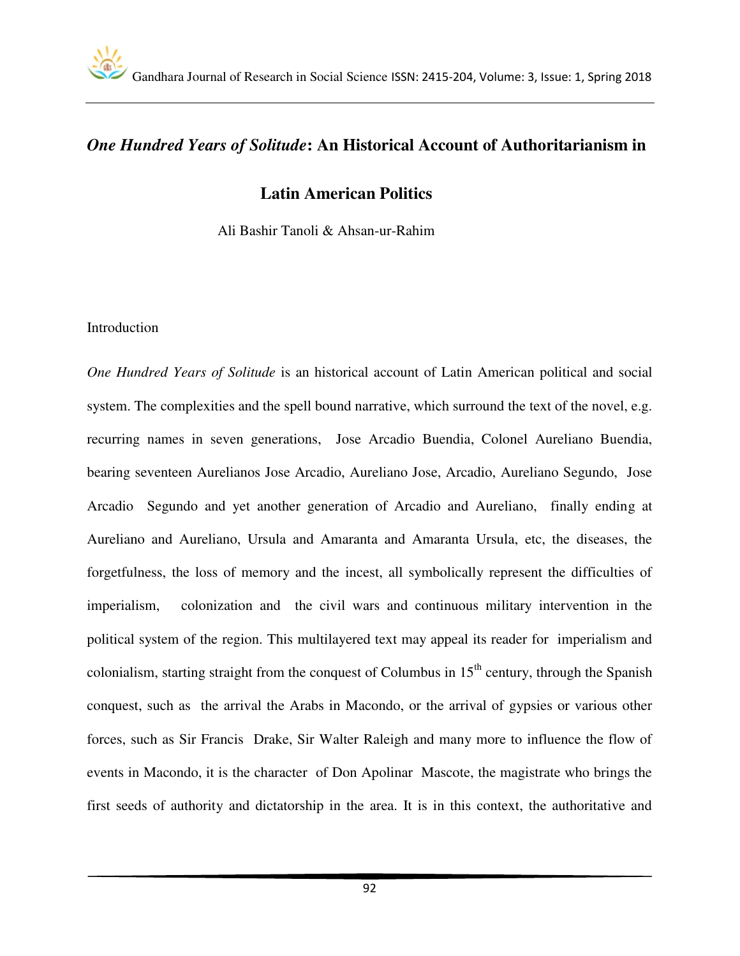#### *One Hundred Years of Solitude***: An Historical Account of Authoritarianism in**

#### **Latin American Politics**

Ali Bashir Tanoli & Ahsan-ur-Rahim

#### Introduction

*One Hundred Years of Solitude* is an historical account of Latin American political and social system. The complexities and the spell bound narrative, which surround the text of the novel, e.g. recurring names in seven generations, Jose Arcadio Buendia, Colonel Aureliano Buendia, bearing seventeen Aurelianos Jose Arcadio, Aureliano Jose, Arcadio, Aureliano Segundo, Jose Arcadio Segundo and yet another generation of Arcadio and Aureliano, finally ending at Aureliano and Aureliano, Ursula and Amaranta and Amaranta Ursula, etc, the diseases, the forgetfulness, the loss of memory and the incest, all symbolically represent the difficulties of imperialism, colonization and the civil wars and continuous military intervention in the political system of the region. This multilayered text may appeal its reader for imperialism and colonialism, starting straight from the conquest of Columbus in  $15<sup>th</sup>$  century, through the Spanish conquest, such as the arrival the Arabs in Macondo, or the arrival of gypsies or various other forces, such as Sir Francis Drake, Sir Walter Raleigh and many more to influence the flow of events in Macondo, it is the character of Don Apolinar Mascote, the magistrate who brings the first seeds of authority and dictatorship in the area. It is in this context, the authoritative and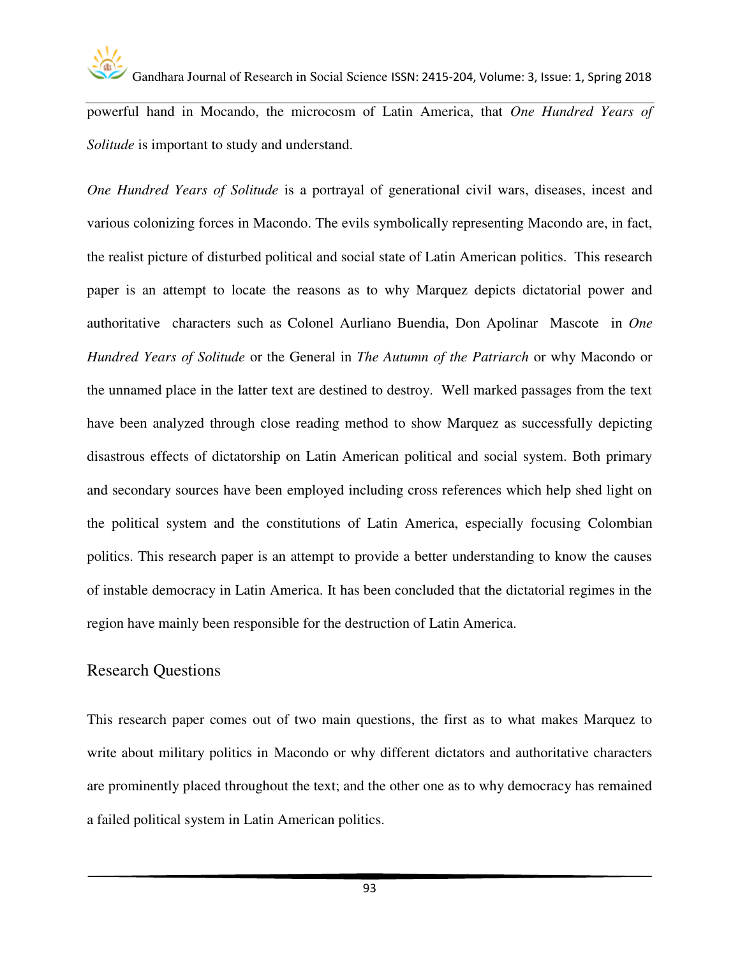

powerful hand in Mocando, the microcosm of Latin America, that *One Hundred Years of Solitude* is important to study and understand.

*One Hundred Years of Solitude* is a portrayal of generational civil wars, diseases, incest and various colonizing forces in Macondo. The evils symbolically representing Macondo are, in fact, the realist picture of disturbed political and social state of Latin American politics. This research paper is an attempt to locate the reasons as to why Marquez depicts dictatorial power and authoritative characters such as Colonel Aurliano Buendia, Don Apolinar Mascote in *One Hundred Years of Solitude* or the General in *The Autumn of the Patriarch* or why Macondo or the unnamed place in the latter text are destined to destroy. Well marked passages from the text have been analyzed through close reading method to show Marquez as successfully depicting disastrous effects of dictatorship on Latin American political and social system. Both primary and secondary sources have been employed including cross references which help shed light on the political system and the constitutions of Latin America, especially focusing Colombian politics. This research paper is an attempt to provide a better understanding to know the causes of instable democracy in Latin America. It has been concluded that the dictatorial regimes in the region have mainly been responsible for the destruction of Latin America.

#### Research Questions

This research paper comes out of two main questions, the first as to what makes Marquez to write about military politics in Macondo or why different dictators and authoritative characters are prominently placed throughout the text; and the other one as to why democracy has remained a failed political system in Latin American politics.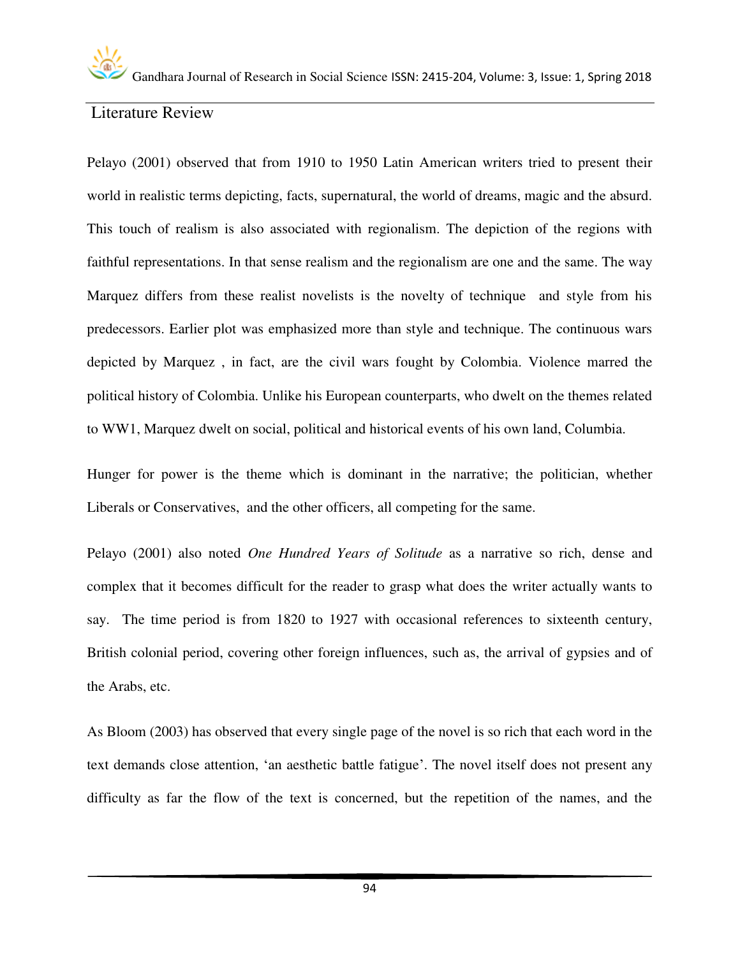#### Literature Review

Pelayo (2001) observed that from 1910 to 1950 Latin American writers tried to present their world in realistic terms depicting, facts, supernatural, the world of dreams, magic and the absurd. This touch of realism is also associated with regionalism. The depiction of the regions with faithful representations. In that sense realism and the regionalism are one and the same. The way Marquez differs from these realist novelists is the novelty of technique and style from his predecessors. Earlier plot was emphasized more than style and technique. The continuous wars depicted by Marquez , in fact, are the civil wars fought by Colombia. Violence marred the political history of Colombia. Unlike his European counterparts, who dwelt on the themes related to WW1, Marquez dwelt on social, political and historical events of his own land, Columbia.

Hunger for power is the theme which is dominant in the narrative; the politician, whether Liberals or Conservatives, and the other officers, all competing for the same.

Pelayo (2001) also noted *One Hundred Years of Solitude* as a narrative so rich, dense and complex that it becomes difficult for the reader to grasp what does the writer actually wants to say. The time period is from 1820 to 1927 with occasional references to sixteenth century, British colonial period, covering other foreign influences, such as, the arrival of gypsies and of the Arabs, etc.

As Bloom (2003) has observed that every single page of the novel is so rich that each word in the text demands close attention, 'an aesthetic battle fatigue'. The novel itself does not present any difficulty as far the flow of the text is concerned, but the repetition of the names, and the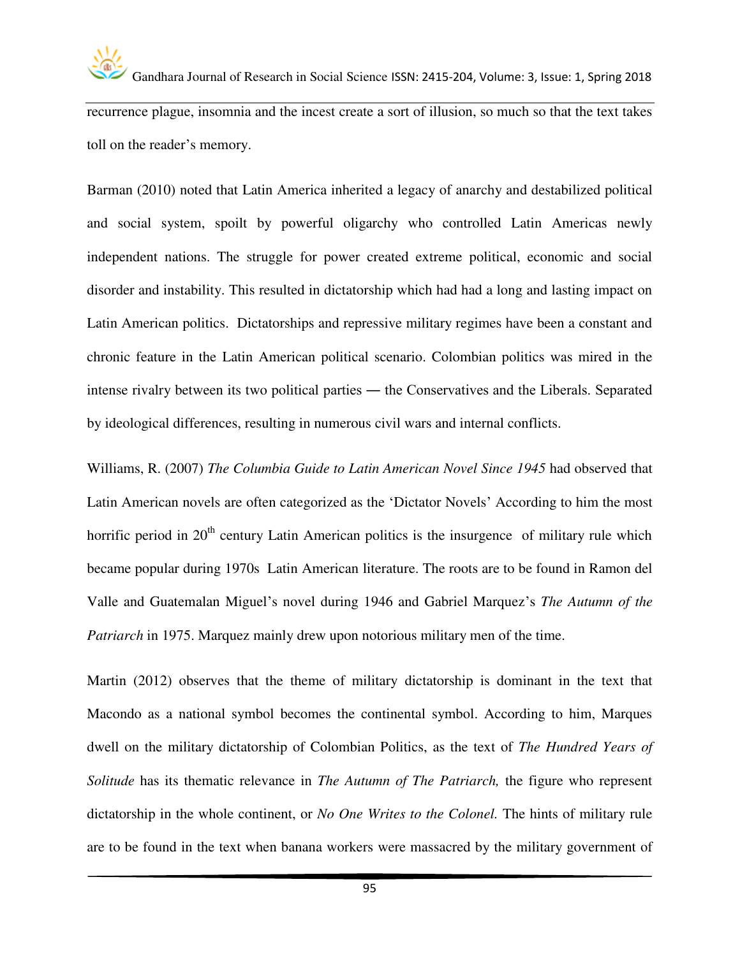recurrence plague, insomnia and the incest create a sort of illusion, so much so that the text takes toll on the reader's memory.

Barman (2010) noted that Latin America inherited a legacy of anarchy and destabilized political and social system, spoilt by powerful oligarchy who controlled Latin Americas newly independent nations. The struggle for power created extreme political, economic and social disorder and instability. This resulted in dictatorship which had had a long and lasting impact on Latin American politics. Dictatorships and repressive military regimes have been a constant and chronic feature in the Latin American political scenario. Colombian politics was mired in the intense rivalry between its two political parties ― the Conservatives and the Liberals. Separated by ideological differences, resulting in numerous civil wars and internal conflicts.

Williams, R. (2007) *The Columbia Guide to Latin American Novel Since 1945* had observed that Latin American novels are often categorized as the 'Dictator Novels' According to him the most horrific period in  $20<sup>th</sup>$  century Latin American politics is the insurgence of military rule which became popular during 1970s Latin American literature. The roots are to be found in Ramon del Valle and Guatemalan Miguel's novel during 1946 and Gabriel Marquez's *The Autumn of the Patriarch* in 1975. Marquez mainly drew upon notorious military men of the time.

Martin (2012) observes that the theme of military dictatorship is dominant in the text that Macondo as a national symbol becomes the continental symbol. According to him, Marques dwell on the military dictatorship of Colombian Politics, as the text of *The Hundred Years of Solitude* has its thematic relevance in *The Autumn of The Patriarch,* the figure who represent dictatorship in the whole continent, or *No One Writes to the Colonel.* The hints of military rule are to be found in the text when banana workers were massacred by the military government of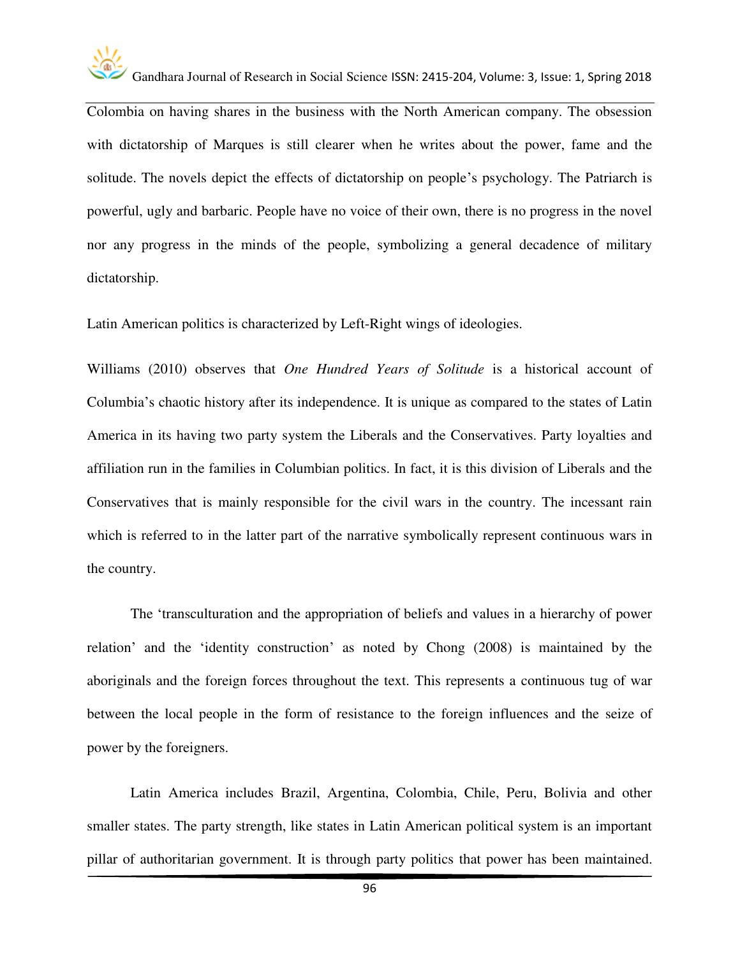

Colombia on having shares in the business with the North American company. The obsession with dictatorship of Marques is still clearer when he writes about the power, fame and the solitude. The novels depict the effects of dictatorship on people's psychology. The Patriarch is powerful, ugly and barbaric. People have no voice of their own, there is no progress in the novel nor any progress in the minds of the people, symbolizing a general decadence of military dictatorship.

Latin American politics is characterized by Left-Right wings of ideologies.

Williams (2010) observes that *One Hundred Years of Solitude* is a historical account of Columbia's chaotic history after its independence. It is unique as compared to the states of Latin America in its having two party system the Liberals and the Conservatives. Party loyalties and affiliation run in the families in Columbian politics. In fact, it is this division of Liberals and the Conservatives that is mainly responsible for the civil wars in the country. The incessant rain which is referred to in the latter part of the narrative symbolically represent continuous wars in the country.

The 'transculturation and the appropriation of beliefs and values in a hierarchy of power relation' and the 'identity construction' as noted by Chong (2008) is maintained by the aboriginals and the foreign forces throughout the text. This represents a continuous tug of war between the local people in the form of resistance to the foreign influences and the seize of power by the foreigners.

Latin America includes Brazil, Argentina, Colombia, Chile, Peru, Bolivia and other smaller states. The party strength, like states in Latin American political system is an important pillar of authoritarian government. It is through party politics that power has been maintained.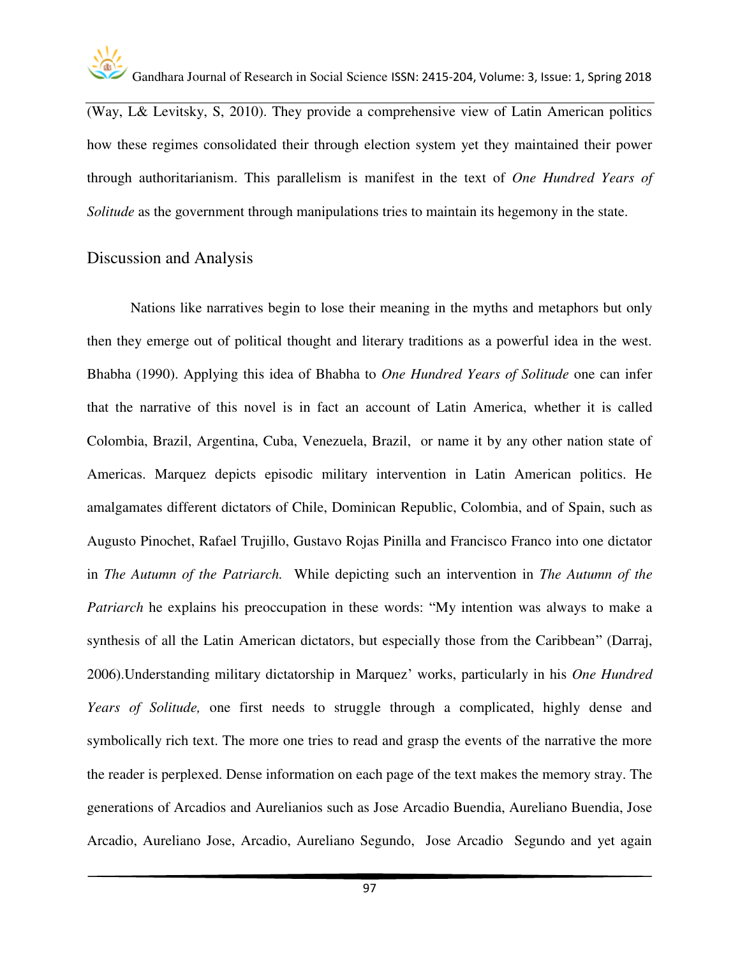

(Way, L& Levitsky, S, 2010). They provide a comprehensive view of Latin American politics how these regimes consolidated their through election system yet they maintained their power through authoritarianism. This parallelism is manifest in the text of *One Hundred Years of Solitude* as the government through manipulations tries to maintain its hegemony in the state.

#### Discussion and Analysis

Nations like narratives begin to lose their meaning in the myths and metaphors but only then they emerge out of political thought and literary traditions as a powerful idea in the west. Bhabha (1990). Applying this idea of Bhabha to *One Hundred Years of Solitude* one can infer that the narrative of this novel is in fact an account of Latin America, whether it is called Colombia, Brazil, Argentina, Cuba, Venezuela, Brazil, or name it by any other nation state of Americas. Marquez depicts episodic military intervention in Latin American politics. He amalgamates different dictators of Chile, Dominican Republic, Colombia, and of Spain, such as Augusto Pinochet, Rafael Trujillo, Gustavo Rojas Pinilla and Francisco Franco into one dictator in *The Autumn of the Patriarch.* While depicting such an intervention in *The Autumn of the Patriarch* he explains his preoccupation in these words: "My intention was always to make a synthesis of all the Latin American dictators, but especially those from the Caribbean" (Darraj, 2006).Understanding military dictatorship in Marquez' works, particularly in his *One Hundred Years of Solitude,* one first needs to struggle through a complicated, highly dense and symbolically rich text. The more one tries to read and grasp the events of the narrative the more the reader is perplexed. Dense information on each page of the text makes the memory stray. The generations of Arcadios and Aurelianios such as Jose Arcadio Buendia, Aureliano Buendia, Jose Arcadio, Aureliano Jose, Arcadio, Aureliano Segundo, Jose Arcadio Segundo and yet again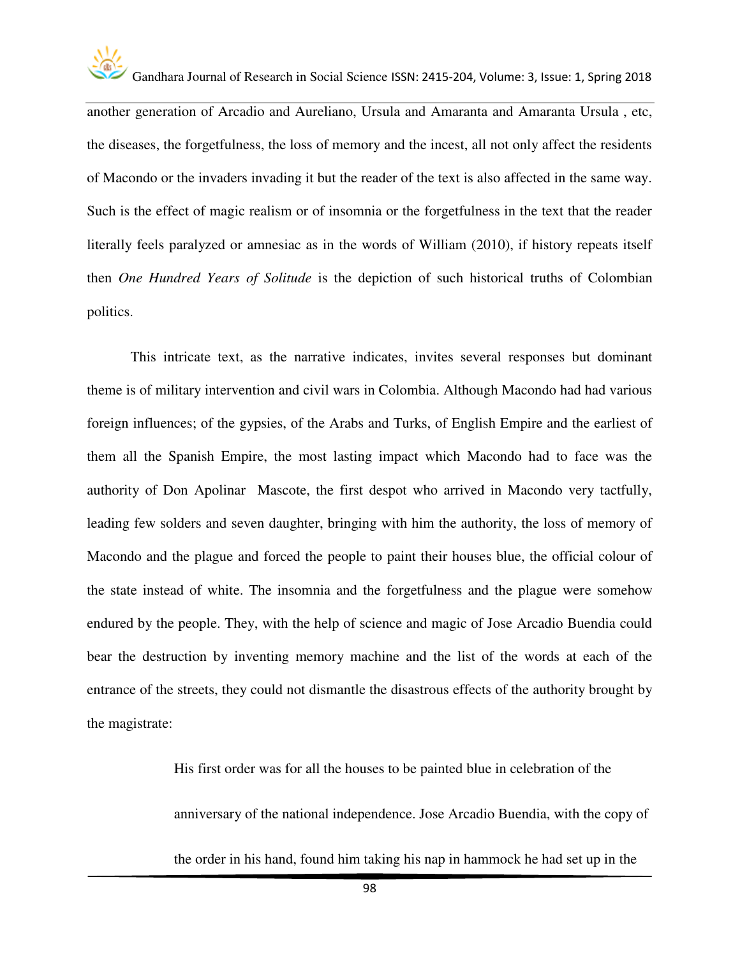

another generation of Arcadio and Aureliano, Ursula and Amaranta and Amaranta Ursula , etc, the diseases, the forgetfulness, the loss of memory and the incest, all not only affect the residents of Macondo or the invaders invading it but the reader of the text is also affected in the same way. Such is the effect of magic realism or of insomnia or the forgetfulness in the text that the reader literally feels paralyzed or amnesiac as in the words of William (2010), if history repeats itself then *One Hundred Years of Solitude* is the depiction of such historical truths of Colombian politics.

This intricate text, as the narrative indicates, invites several responses but dominant theme is of military intervention and civil wars in Colombia. Although Macondo had had various foreign influences; of the gypsies, of the Arabs and Turks, of English Empire and the earliest of them all the Spanish Empire, the most lasting impact which Macondo had to face was the authority of Don Apolinar Mascote, the first despot who arrived in Macondo very tactfully, leading few solders and seven daughter, bringing with him the authority, the loss of memory of Macondo and the plague and forced the people to paint their houses blue, the official colour of the state instead of white. The insomnia and the forgetfulness and the plague were somehow endured by the people. They, with the help of science and magic of Jose Arcadio Buendia could bear the destruction by inventing memory machine and the list of the words at each of the entrance of the streets, they could not dismantle the disastrous effects of the authority brought by the magistrate:

> His first order was for all the houses to be painted blue in celebration of the anniversary of the national independence. Jose Arcadio Buendia, with the copy of the order in his hand, found him taking his nap in hammock he had set up in the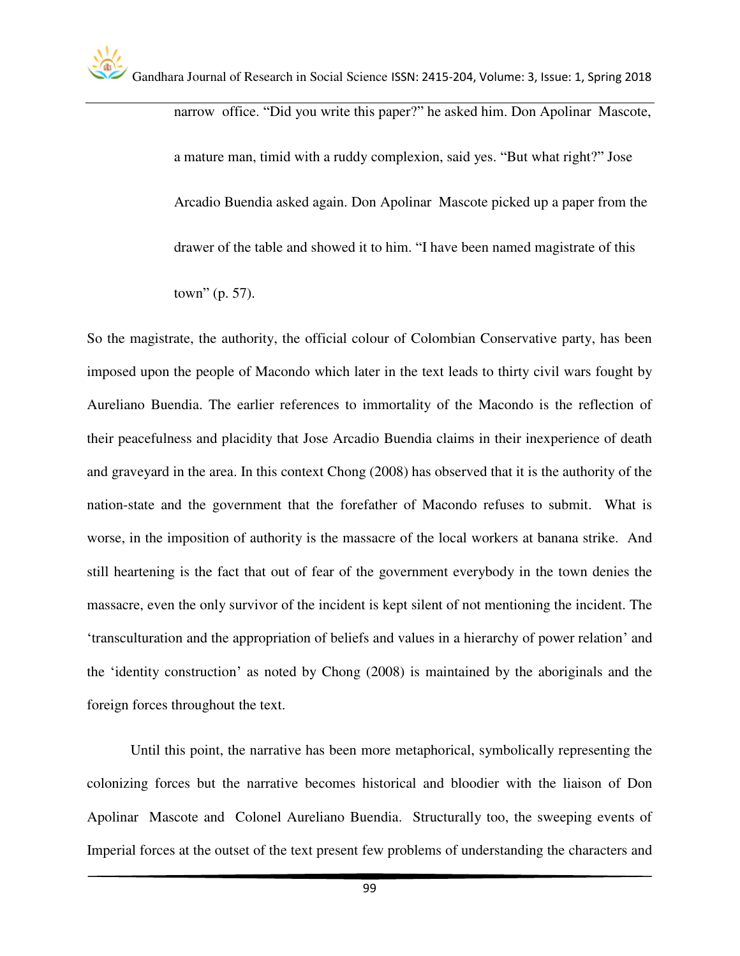narrow office. "Did you write this paper?" he asked him. Don Apolinar Mascote, a mature man, timid with a ruddy complexion, said yes. "But what right?" Jose Arcadio Buendia asked again. Don Apolinar Mascote picked up a paper from the drawer of the table and showed it to him. "I have been named magistrate of this town" (p. 57).

So the magistrate, the authority, the official colour of Colombian Conservative party, has been imposed upon the people of Macondo which later in the text leads to thirty civil wars fought by Aureliano Buendia. The earlier references to immortality of the Macondo is the reflection of their peacefulness and placidity that Jose Arcadio Buendia claims in their inexperience of death and graveyard in the area. In this context Chong (2008) has observed that it is the authority of the nation-state and the government that the forefather of Macondo refuses to submit. What is worse, in the imposition of authority is the massacre of the local workers at banana strike. And still heartening is the fact that out of fear of the government everybody in the town denies the massacre, even the only survivor of the incident is kept silent of not mentioning the incident. The 'transculturation and the appropriation of beliefs and values in a hierarchy of power relation' and the 'identity construction' as noted by Chong (2008) is maintained by the aboriginals and the foreign forces throughout the text.

 Until this point, the narrative has been more metaphorical, symbolically representing the colonizing forces but the narrative becomes historical and bloodier with the liaison of Don Apolinar Mascote and Colonel Aureliano Buendia. Structurally too, the sweeping events of Imperial forces at the outset of the text present few problems of understanding the characters and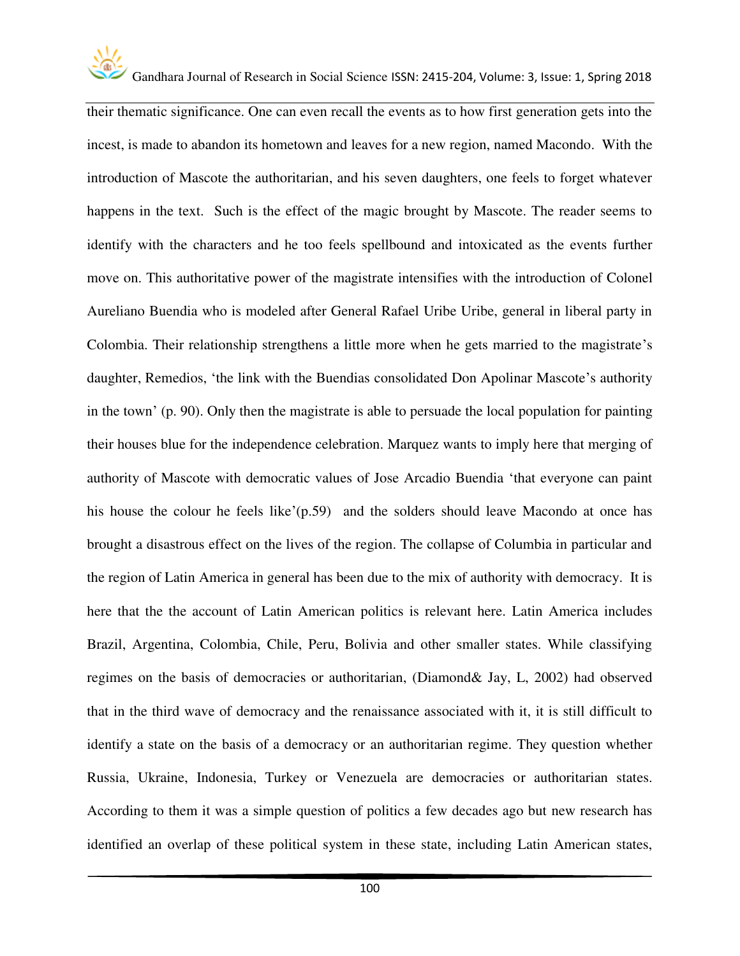

Gandhara Journal of Research in Social Science ISSN: 2415-204, Volume: 3, Issue: 1, Spring 2018

their thematic significance. One can even recall the events as to how first generation gets into the incest, is made to abandon its hometown and leaves for a new region, named Macondo. With the introduction of Mascote the authoritarian, and his seven daughters, one feels to forget whatever happens in the text. Such is the effect of the magic brought by Mascote. The reader seems to identify with the characters and he too feels spellbound and intoxicated as the events further move on. This authoritative power of the magistrate intensifies with the introduction of Colonel Aureliano Buendia who is modeled after General Rafael Uribe Uribe, general in liberal party in Colombia. Their relationship strengthens a little more when he gets married to the magistrate's daughter, Remedios, 'the link with the Buendias consolidated Don Apolinar Mascote's authority in the town' (p. 90). Only then the magistrate is able to persuade the local population for painting their houses blue for the independence celebration. Marquez wants to imply here that merging of authority of Mascote with democratic values of Jose Arcadio Buendia 'that everyone can paint his house the colour he feels like'(p.59) and the solders should leave Macondo at once has brought a disastrous effect on the lives of the region. The collapse of Columbia in particular and the region of Latin America in general has been due to the mix of authority with democracy. It is here that the the account of Latin American politics is relevant here. Latin America includes Brazil, Argentina, Colombia, Chile, Peru, Bolivia and other smaller states. While classifying regimes on the basis of democracies or authoritarian, (Diamond& Jay, L, 2002) had observed that in the third wave of democracy and the renaissance associated with it, it is still difficult to identify a state on the basis of a democracy or an authoritarian regime. They question whether Russia, Ukraine, Indonesia, Turkey or Venezuela are democracies or authoritarian states. According to them it was a simple question of politics a few decades ago but new research has identified an overlap of these political system in these state, including Latin American states,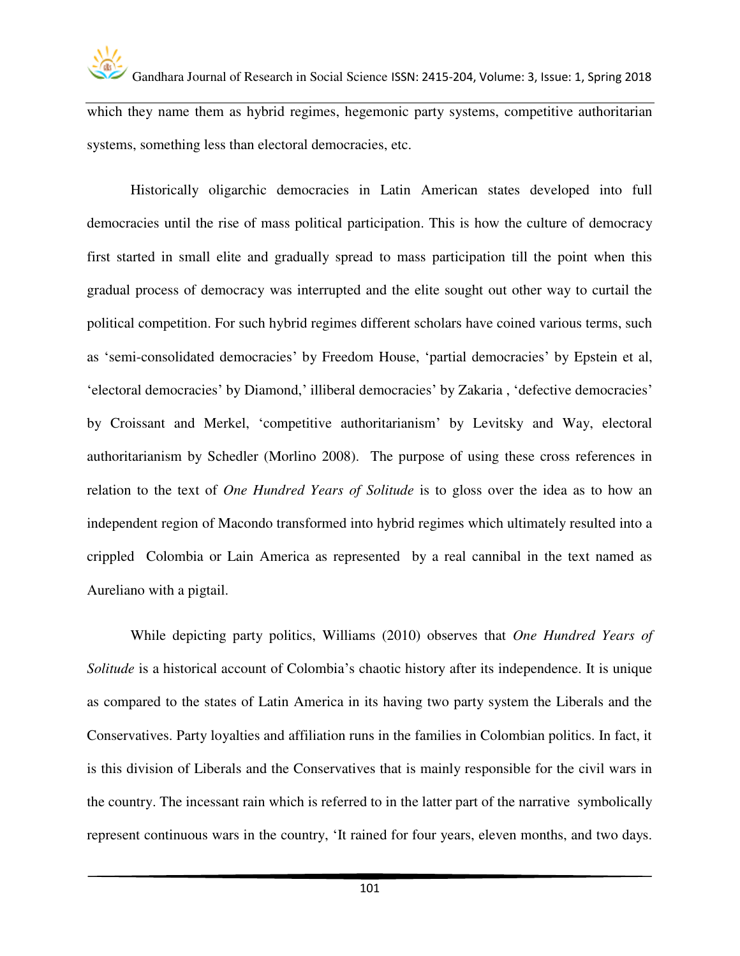

which they name them as hybrid regimes, hegemonic party systems, competitive authoritarian systems, something less than electoral democracies, etc.

Historically oligarchic democracies in Latin American states developed into full democracies until the rise of mass political participation. This is how the culture of democracy first started in small elite and gradually spread to mass participation till the point when this gradual process of democracy was interrupted and the elite sought out other way to curtail the political competition. For such hybrid regimes different scholars have coined various terms, such as 'semi-consolidated democracies' by Freedom House, 'partial democracies' by Epstein et al, 'electoral democracies' by Diamond,' illiberal democracies' by Zakaria , 'defective democracies' by Croissant and Merkel, 'competitive authoritarianism' by Levitsky and Way, electoral authoritarianism by Schedler (Morlino 2008). The purpose of using these cross references in relation to the text of *One Hundred Years of Solitude* is to gloss over the idea as to how an independent region of Macondo transformed into hybrid regimes which ultimately resulted into a crippled Colombia or Lain America as represented by a real cannibal in the text named as Aureliano with a pigtail.

 While depicting party politics, Williams (2010) observes that *One Hundred Years of Solitude* is a historical account of Colombia's chaotic history after its independence. It is unique as compared to the states of Latin America in its having two party system the Liberals and the Conservatives. Party loyalties and affiliation runs in the families in Colombian politics. In fact, it is this division of Liberals and the Conservatives that is mainly responsible for the civil wars in the country. The incessant rain which is referred to in the latter part of the narrative symbolically represent continuous wars in the country, 'It rained for four years, eleven months, and two days.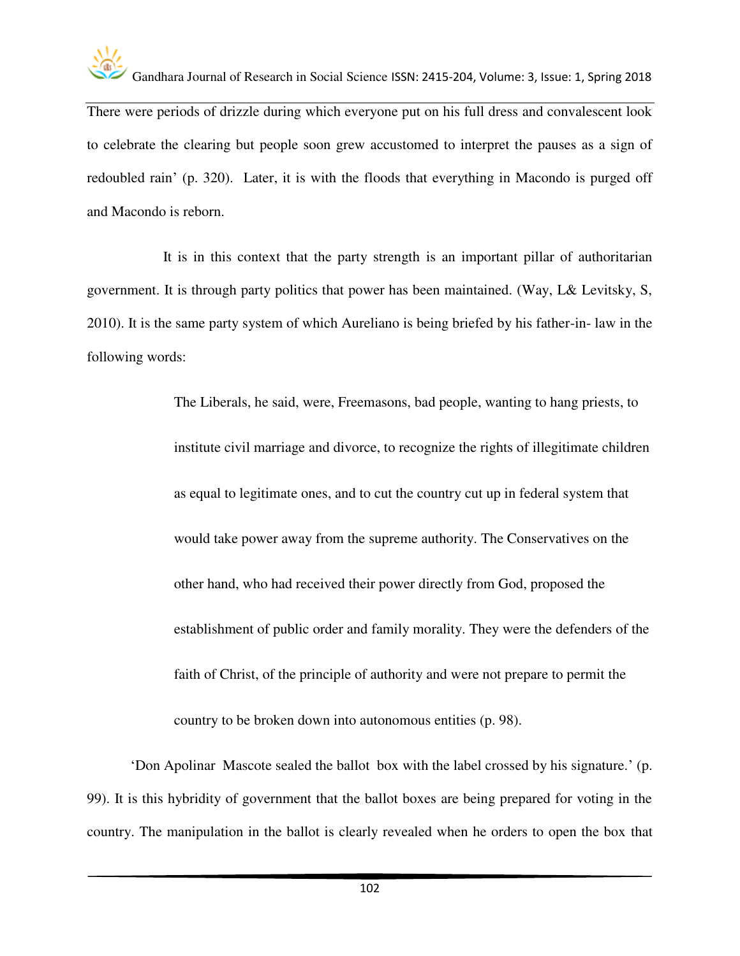

There were periods of drizzle during which everyone put on his full dress and convalescent look to celebrate the clearing but people soon grew accustomed to interpret the pauses as a sign of redoubled rain' (p. 320). Later, it is with the floods that everything in Macondo is purged off and Macondo is reborn.

 It is in this context that the party strength is an important pillar of authoritarian government. It is through party politics that power has been maintained. (Way, L& Levitsky, S, 2010). It is the same party system of which Aureliano is being briefed by his father-in- law in the following words:

> The Liberals, he said, were, Freemasons, bad people, wanting to hang priests, to institute civil marriage and divorce, to recognize the rights of illegitimate children as equal to legitimate ones, and to cut the country cut up in federal system that would take power away from the supreme authority. The Conservatives on the other hand, who had received their power directly from God, proposed the establishment of public order and family morality. They were the defenders of the faith of Christ, of the principle of authority and were not prepare to permit the country to be broken down into autonomous entities (p. 98).

'Don Apolinar Mascote sealed the ballot box with the label crossed by his signature.' (p. 99). It is this hybridity of government that the ballot boxes are being prepared for voting in the country. The manipulation in the ballot is clearly revealed when he orders to open the box that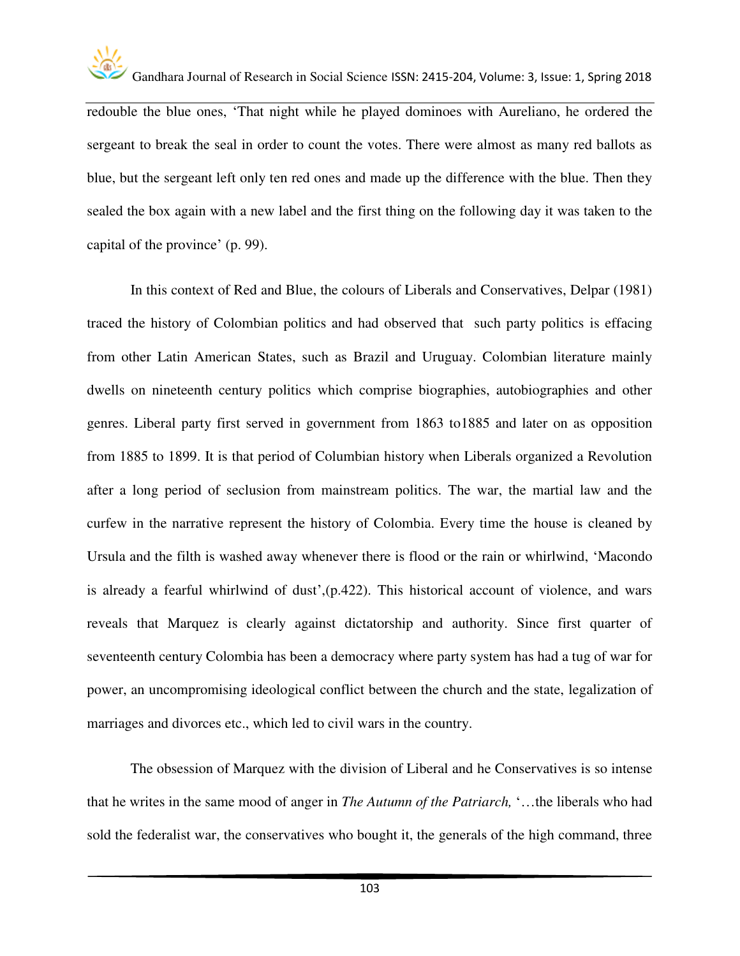

redouble the blue ones, 'That night while he played dominoes with Aureliano, he ordered the sergeant to break the seal in order to count the votes. There were almost as many red ballots as blue, but the sergeant left only ten red ones and made up the difference with the blue. Then they sealed the box again with a new label and the first thing on the following day it was taken to the capital of the province' (p. 99).

In this context of Red and Blue, the colours of Liberals and Conservatives, Delpar (1981) traced the history of Colombian politics and had observed that such party politics is effacing from other Latin American States, such as Brazil and Uruguay. Colombian literature mainly dwells on nineteenth century politics which comprise biographies, autobiographies and other genres. Liberal party first served in government from 1863 to1885 and later on as opposition from 1885 to 1899. It is that period of Columbian history when Liberals organized a Revolution after a long period of seclusion from mainstream politics. The war, the martial law and the curfew in the narrative represent the history of Colombia. Every time the house is cleaned by Ursula and the filth is washed away whenever there is flood or the rain or whirlwind, 'Macondo is already a fearful whirlwind of dust',(p.422). This historical account of violence, and wars reveals that Marquez is clearly against dictatorship and authority. Since first quarter of seventeenth century Colombia has been a democracy where party system has had a tug of war for power, an uncompromising ideological conflict between the church and the state, legalization of marriages and divorces etc., which led to civil wars in the country.

The obsession of Marquez with the division of Liberal and he Conservatives is so intense that he writes in the same mood of anger in *The Autumn of the Patriarch,* '…the liberals who had sold the federalist war, the conservatives who bought it, the generals of the high command, three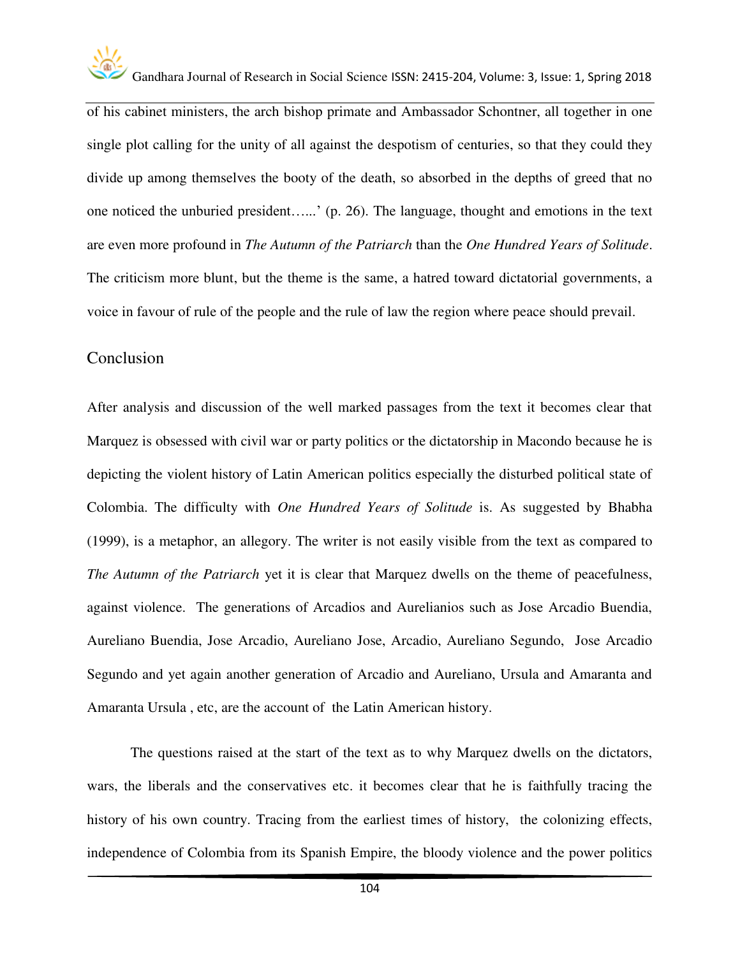

of his cabinet ministers, the arch bishop primate and Ambassador Schontner, all together in one single plot calling for the unity of all against the despotism of centuries, so that they could they divide up among themselves the booty of the death, so absorbed in the depths of greed that no one noticed the unburied president…...' (p. 26). The language, thought and emotions in the text are even more profound in *The Autumn of the Patriarch* than the *One Hundred Years of Solitude*. The criticism more blunt, but the theme is the same, a hatred toward dictatorial governments, a voice in favour of rule of the people and the rule of law the region where peace should prevail.

#### Conclusion

After analysis and discussion of the well marked passages from the text it becomes clear that Marquez is obsessed with civil war or party politics or the dictatorship in Macondo because he is depicting the violent history of Latin American politics especially the disturbed political state of Colombia. The difficulty with *One Hundred Years of Solitude* is. As suggested by Bhabha (1999), is a metaphor, an allegory. The writer is not easily visible from the text as compared to *The Autumn of the Patriarch* yet it is clear that Marquez dwells on the theme of peacefulness, against violence. The generations of Arcadios and Aurelianios such as Jose Arcadio Buendia, Aureliano Buendia, Jose Arcadio, Aureliano Jose, Arcadio, Aureliano Segundo, Jose Arcadio Segundo and yet again another generation of Arcadio and Aureliano, Ursula and Amaranta and Amaranta Ursula , etc, are the account of the Latin American history.

The questions raised at the start of the text as to why Marquez dwells on the dictators, wars, the liberals and the conservatives etc. it becomes clear that he is faithfully tracing the history of his own country. Tracing from the earliest times of history, the colonizing effects, independence of Colombia from its Spanish Empire, the bloody violence and the power politics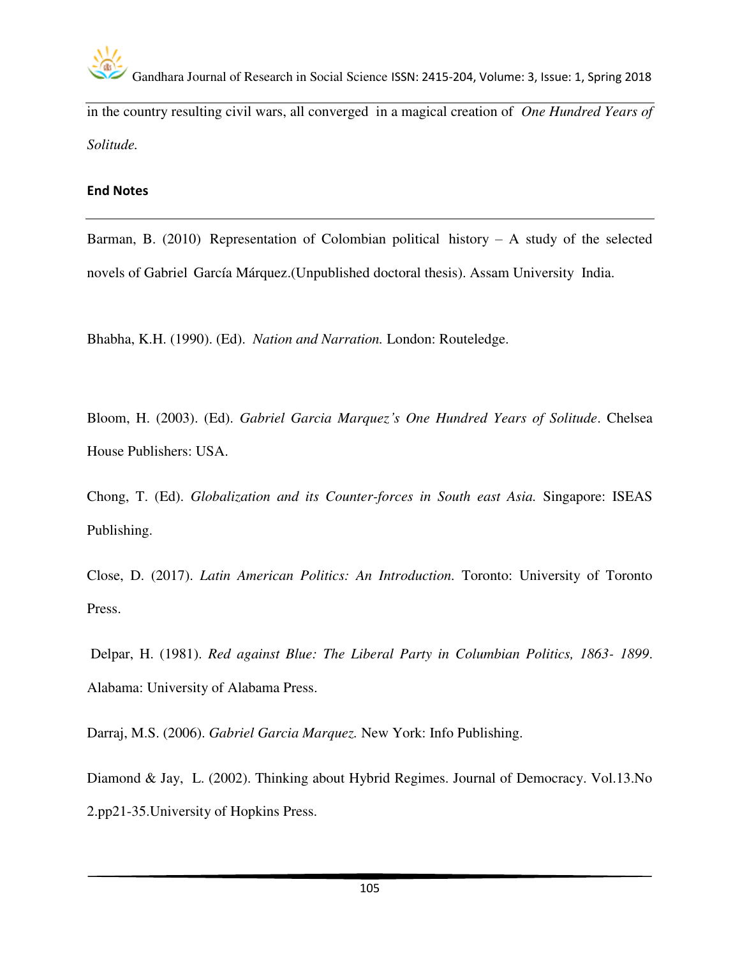

in the country resulting civil wars, all converged in a magical creation of *One Hundred Years of Solitude.*

#### **End Notes**

Barman, B. (2010) Representation of Colombian political history  $-$  A study of the selected novels of Gabriel García Márquez.(Unpublished doctoral thesis). Assam University India.

Bhabha, K.H. (1990). (Ed). *Nation and Narration.* London: Routeledge.

Bloom, H. (2003). (Ed). *Gabriel Garcia Marquez's One Hundred Years of Solitude*. Chelsea House Publishers: USA.

Chong, T. (Ed). *Globalization and its Counter-forces in South east Asia.* Singapore: ISEAS Publishing.

Close, D. (2017). *Latin American Politics: An Introduction.* Toronto: University of Toronto Press.

 Delpar, H. (1981). *Red against Blue: The Liberal Party in Columbian Politics, 1863- 1899*. Alabama: University of Alabama Press.

Darraj, M.S. (2006). *Gabriel Garcia Marquez.* New York: Info Publishing.

Diamond & Jay, L. (2002). Thinking about Hybrid Regimes. Journal of Democracy. Vol.13.No 2.pp21-35.University of Hopkins Press.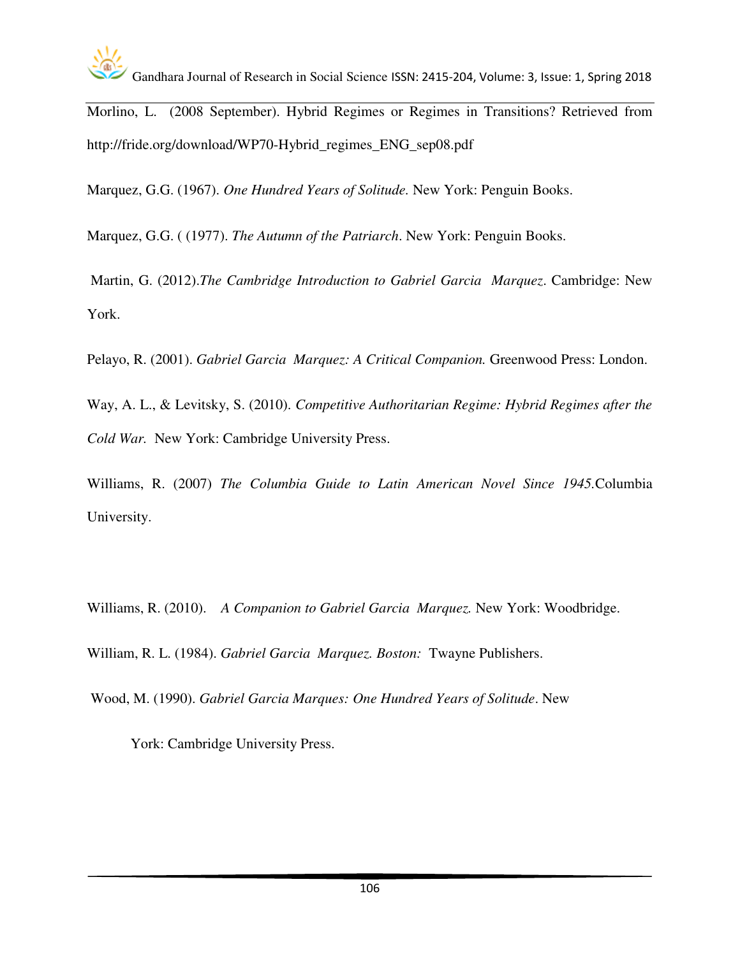

Morlino, L. (2008 September). Hybrid Regimes or Regimes in Transitions? Retrieved from http://fride.org/download/WP70-Hybrid\_regimes\_ENG\_sep08.pdf

Marquez, G.G. (1967). *One Hundred Years of Solitude.* New York: Penguin Books.

Marquez, G.G. ( (1977). *The Autumn of the Patriarch*. New York: Penguin Books.

 Martin, G. (2012).*The Cambridge Introduction to Gabriel Garcia Marquez*. Cambridge: New York.

Pelayo, R. (2001). *Gabriel Garcia Marquez: A Critical Companion.* Greenwood Press: London.

Way, A. L., & Levitsky, S. (2010). *Competitive Authoritarian Regime: Hybrid Regimes after the Cold War.* New York: Cambridge University Press.

Williams, R. (2007) *The Columbia Guide to Latin American Novel Since 1945.*Columbia University.

Williams, R. (2010). *A Companion to Gabriel Garcia Marquez.* New York: Woodbridge.

William, R. L. (1984). *Gabriel Garcia Marquez. Boston:* Twayne Publishers.

Wood, M. (1990). *Gabriel Garcia Marques: One Hundred Years of Solitude*. New

York: Cambridge University Press.